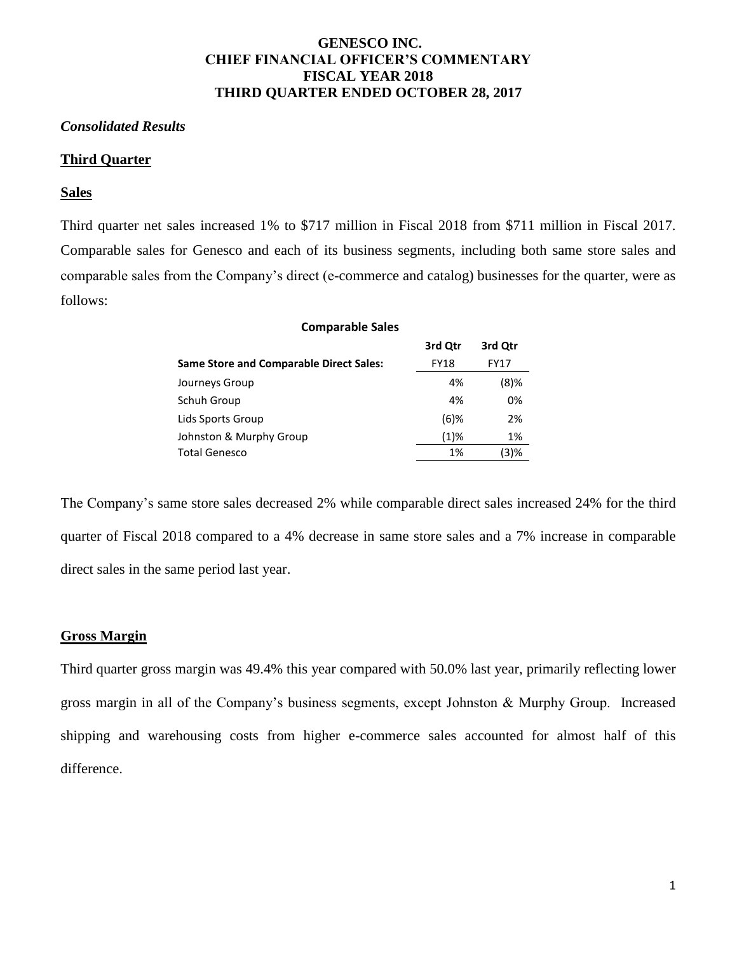# **GENESCO INC. CHIEF FINANCIAL OFFICER'S COMMENTARY FISCAL YEAR 2018 THIRD QUARTER ENDED OCTOBER 28, 2017**

## *Consolidated Results*

## **Third Quarter**

#### **Sales**

Third quarter net sales increased 1% to \$717 million in Fiscal 2018 from \$711 million in Fiscal 2017. Comparable sales for Genesco and each of its business segments, including both same store sales and comparable sales from the Company's direct (e-commerce and catalog) businesses for the quarter, were as follows:

| <b>Comparable Sales</b>                        |             |             |
|------------------------------------------------|-------------|-------------|
|                                                | 3rd Qtr     | 3rd Qtr     |
| <b>Same Store and Comparable Direct Sales:</b> | <b>FY18</b> | <b>FY17</b> |
| Journeys Group                                 | 4%          | $(8)$ %     |
| Schuh Group                                    | 4%          | 0%          |
| Lids Sports Group                              | $(6)$ %     | 2%          |
| Johnston & Murphy Group                        | $(1)\%$     | 1%          |
| <b>Total Genesco</b>                           | 1%          | (3)%        |

The Company's same store sales decreased 2% while comparable direct sales increased 24% for the third quarter of Fiscal 2018 compared to a 4% decrease in same store sales and a 7% increase in comparable direct sales in the same period last year.

## **Gross Margin**

Third quarter gross margin was 49.4% this year compared with 50.0% last year, primarily reflecting lower gross margin in all of the Company's business segments, except Johnston & Murphy Group. Increased shipping and warehousing costs from higher e-commerce sales accounted for almost half of this difference.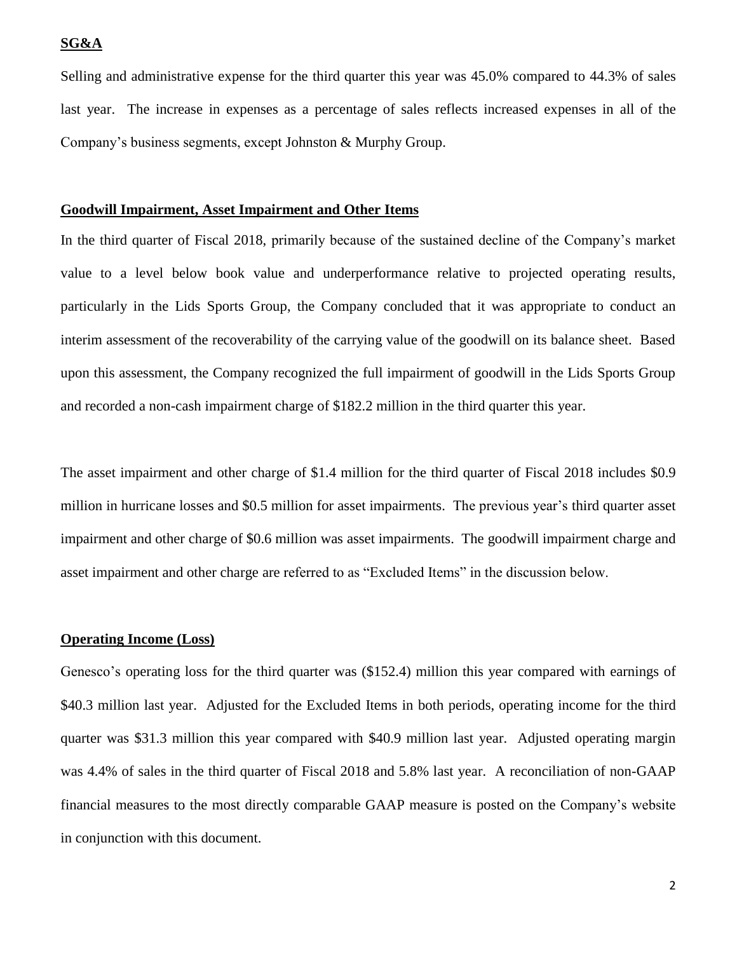## **SG&A**

Selling and administrative expense for the third quarter this year was 45.0% compared to 44.3% of sales last year. The increase in expenses as a percentage of sales reflects increased expenses in all of the Company's business segments, except Johnston & Murphy Group.

## **Goodwill Impairment, Asset Impairment and Other Items**

In the third quarter of Fiscal 2018, primarily because of the sustained decline of the Company's market value to a level below book value and underperformance relative to projected operating results, particularly in the Lids Sports Group, the Company concluded that it was appropriate to conduct an interim assessment of the recoverability of the carrying value of the goodwill on its balance sheet. Based upon this assessment, the Company recognized the full impairment of goodwill in the Lids Sports Group and recorded a non-cash impairment charge of \$182.2 million in the third quarter this year.

The asset impairment and other charge of \$1.4 million for the third quarter of Fiscal 2018 includes \$0.9 million in hurricane losses and \$0.5 million for asset impairments. The previous year's third quarter asset impairment and other charge of \$0.6 million was asset impairments. The goodwill impairment charge and asset impairment and other charge are referred to as "Excluded Items" in the discussion below.

#### **Operating Income (Loss)**

Genesco's operating loss for the third quarter was (\$152.4) million this year compared with earnings of \$40.3 million last year. Adjusted for the Excluded Items in both periods, operating income for the third quarter was \$31.3 million this year compared with \$40.9 million last year. Adjusted operating margin was 4.4% of sales in the third quarter of Fiscal 2018 and 5.8% last year. A reconciliation of non-GAAP financial measures to the most directly comparable GAAP measure is posted on the Company's website in conjunction with this document.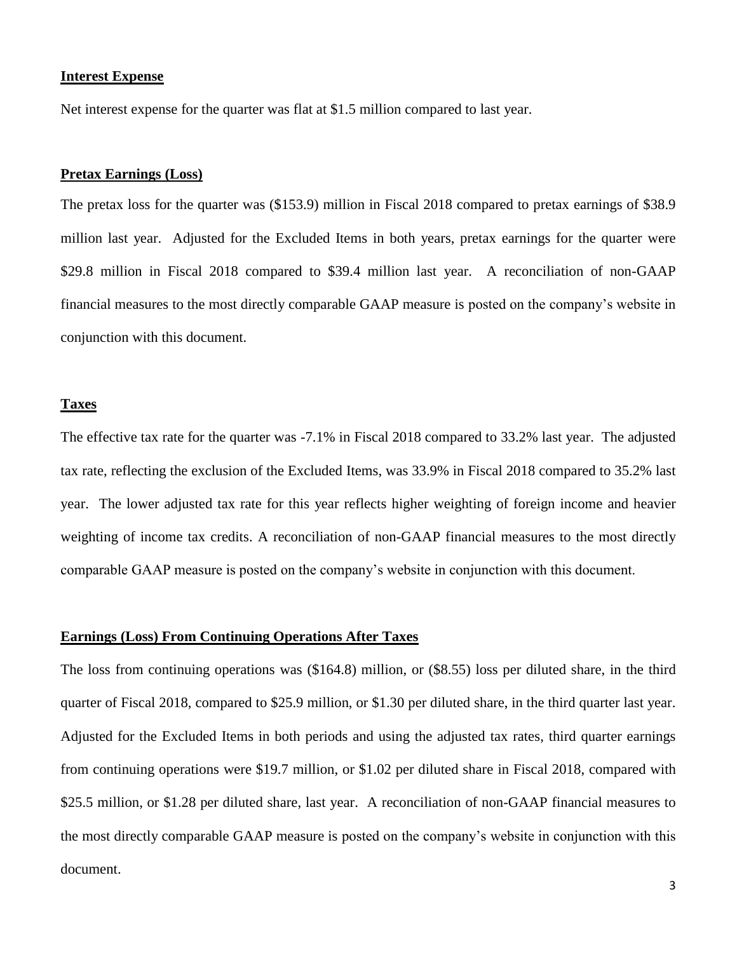#### **Interest Expense**

Net interest expense for the quarter was flat at \$1.5 million compared to last year.

## **Pretax Earnings (Loss)**

The pretax loss for the quarter was (\$153.9) million in Fiscal 2018 compared to pretax earnings of \$38.9 million last year. Adjusted for the Excluded Items in both years, pretax earnings for the quarter were \$29.8 million in Fiscal 2018 compared to \$39.4 million last year. A reconciliation of non-GAAP financial measures to the most directly comparable GAAP measure is posted on the company's website in conjunction with this document.

#### **Taxes**

The effective tax rate for the quarter was -7.1% in Fiscal 2018 compared to 33.2% last year. The adjusted tax rate, reflecting the exclusion of the Excluded Items, was 33.9% in Fiscal 2018 compared to 35.2% last year. The lower adjusted tax rate for this year reflects higher weighting of foreign income and heavier weighting of income tax credits. A reconciliation of non-GAAP financial measures to the most directly comparable GAAP measure is posted on the company's website in conjunction with this document.

## **Earnings (Loss) From Continuing Operations After Taxes**

The loss from continuing operations was (\$164.8) million, or (\$8.55) loss per diluted share, in the third quarter of Fiscal 2018, compared to \$25.9 million, or \$1.30 per diluted share, in the third quarter last year. Adjusted for the Excluded Items in both periods and using the adjusted tax rates, third quarter earnings from continuing operations were \$19.7 million, or \$1.02 per diluted share in Fiscal 2018, compared with \$25.5 million, or \$1.28 per diluted share, last year. A reconciliation of non-GAAP financial measures to the most directly comparable GAAP measure is posted on the company's website in conjunction with this document.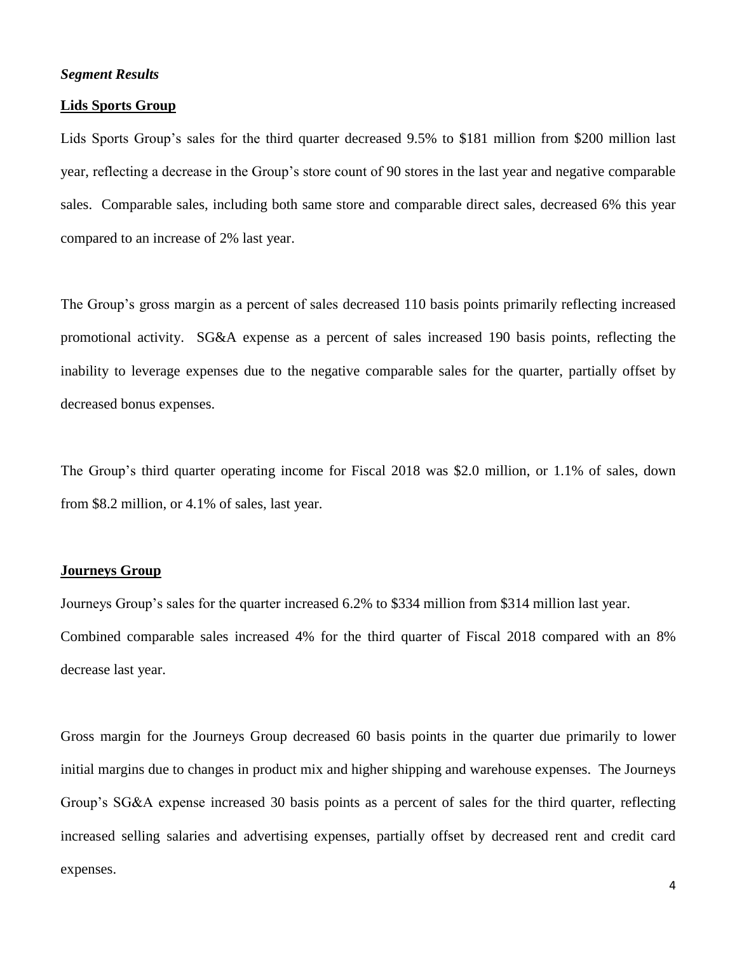## *Segment Results*

#### **Lids Sports Group**

Lids Sports Group's sales for the third quarter decreased 9.5% to \$181 million from \$200 million last year, reflecting a decrease in the Group's store count of 90 stores in the last year and negative comparable sales. Comparable sales, including both same store and comparable direct sales, decreased 6% this year compared to an increase of 2% last year.

The Group's gross margin as a percent of sales decreased 110 basis points primarily reflecting increased promotional activity. SG&A expense as a percent of sales increased 190 basis points, reflecting the inability to leverage expenses due to the negative comparable sales for the quarter, partially offset by decreased bonus expenses.

The Group's third quarter operating income for Fiscal 2018 was \$2.0 million, or 1.1% of sales, down from \$8.2 million, or 4.1% of sales, last year.

## **Journeys Group**

Journeys Group's sales for the quarter increased 6.2% to \$334 million from \$314 million last year. Combined comparable sales increased 4% for the third quarter of Fiscal 2018 compared with an 8% decrease last year.

Gross margin for the Journeys Group decreased 60 basis points in the quarter due primarily to lower initial margins due to changes in product mix and higher shipping and warehouse expenses. The Journeys Group's SG&A expense increased 30 basis points as a percent of sales for the third quarter, reflecting increased selling salaries and advertising expenses, partially offset by decreased rent and credit card expenses.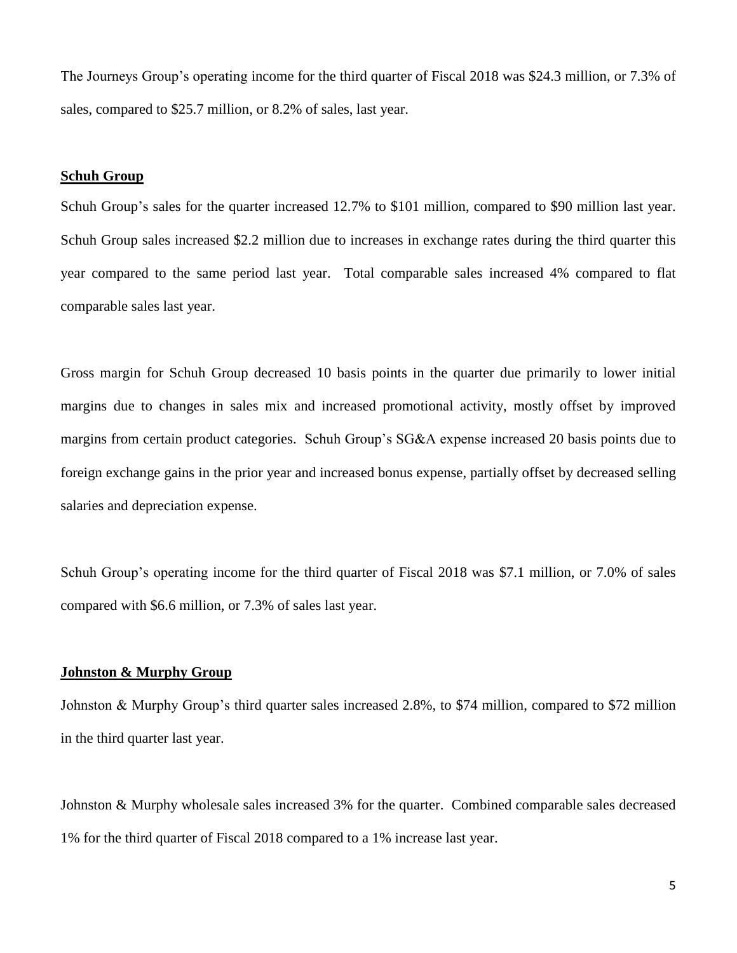The Journeys Group's operating income for the third quarter of Fiscal 2018 was \$24.3 million, or 7.3% of sales, compared to \$25.7 million, or 8.2% of sales, last year.

#### **Schuh Group**

Schuh Group's sales for the quarter increased 12.7% to \$101 million, compared to \$90 million last year. Schuh Group sales increased \$2.2 million due to increases in exchange rates during the third quarter this year compared to the same period last year. Total comparable sales increased 4% compared to flat comparable sales last year.

Gross margin for Schuh Group decreased 10 basis points in the quarter due primarily to lower initial margins due to changes in sales mix and increased promotional activity, mostly offset by improved margins from certain product categories. Schuh Group's SG&A expense increased 20 basis points due to foreign exchange gains in the prior year and increased bonus expense, partially offset by decreased selling salaries and depreciation expense.

Schuh Group's operating income for the third quarter of Fiscal 2018 was \$7.1 million, or 7.0% of sales compared with \$6.6 million, or 7.3% of sales last year.

#### **Johnston & Murphy Group**

Johnston & Murphy Group's third quarter sales increased 2.8%, to \$74 million, compared to \$72 million in the third quarter last year.

Johnston & Murphy wholesale sales increased 3% for the quarter. Combined comparable sales decreased 1% for the third quarter of Fiscal 2018 compared to a 1% increase last year.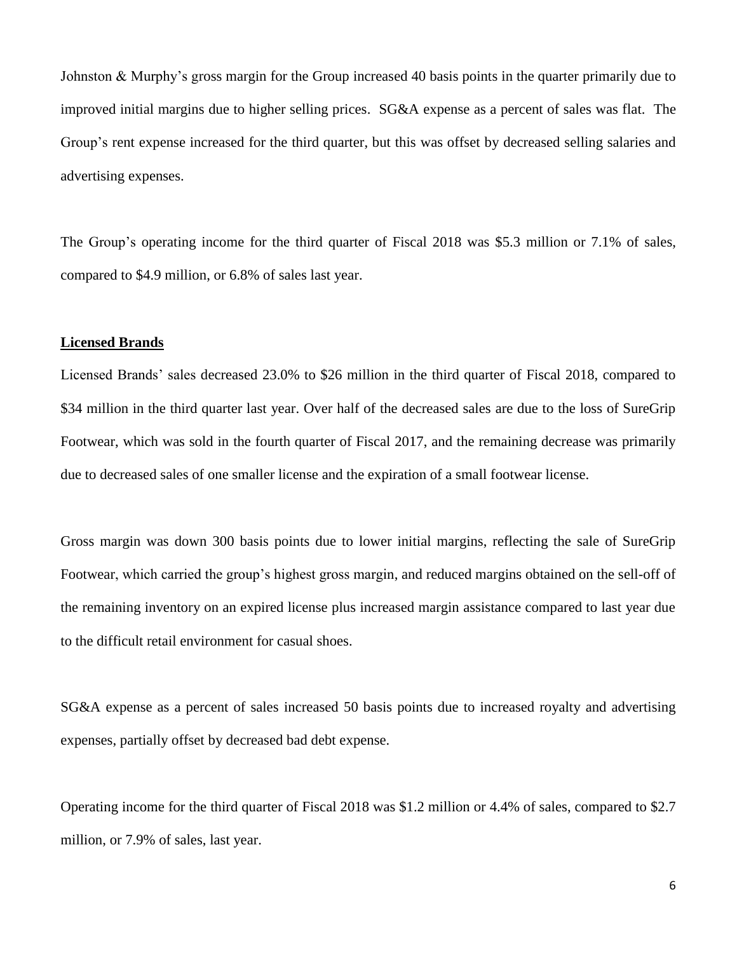Johnston & Murphy's gross margin for the Group increased 40 basis points in the quarter primarily due to improved initial margins due to higher selling prices. SG&A expense as a percent of sales was flat. The Group's rent expense increased for the third quarter, but this was offset by decreased selling salaries and advertising expenses.

The Group's operating income for the third quarter of Fiscal 2018 was \$5.3 million or 7.1% of sales, compared to \$4.9 million, or 6.8% of sales last year.

#### **Licensed Brands**

Licensed Brands' sales decreased 23.0% to \$26 million in the third quarter of Fiscal 2018, compared to \$34 million in the third quarter last year. Over half of the decreased sales are due to the loss of SureGrip Footwear, which was sold in the fourth quarter of Fiscal 2017, and the remaining decrease was primarily due to decreased sales of one smaller license and the expiration of a small footwear license.

Gross margin was down 300 basis points due to lower initial margins, reflecting the sale of SureGrip Footwear, which carried the group's highest gross margin, and reduced margins obtained on the sell-off of the remaining inventory on an expired license plus increased margin assistance compared to last year due to the difficult retail environment for casual shoes.

SG&A expense as a percent of sales increased 50 basis points due to increased royalty and advertising expenses, partially offset by decreased bad debt expense.

Operating income for the third quarter of Fiscal 2018 was \$1.2 million or 4.4% of sales, compared to \$2.7 million, or 7.9% of sales, last year.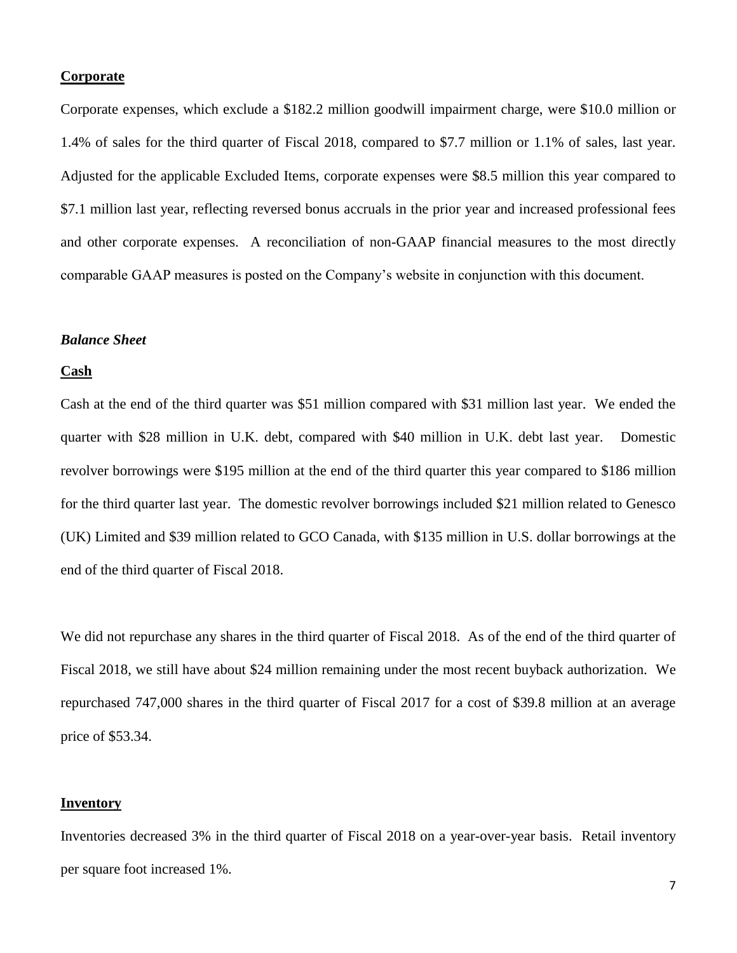#### **Corporate**

Corporate expenses, which exclude a \$182.2 million goodwill impairment charge, were \$10.0 million or 1.4% of sales for the third quarter of Fiscal 2018, compared to \$7.7 million or 1.1% of sales, last year. Adjusted for the applicable Excluded Items, corporate expenses were \$8.5 million this year compared to \$7.1 million last year, reflecting reversed bonus accruals in the prior year and increased professional fees and other corporate expenses. A reconciliation of non-GAAP financial measures to the most directly comparable GAAP measures is posted on the Company's website in conjunction with this document.

#### *Balance Sheet*

#### **Cash**

Cash at the end of the third quarter was \$51 million compared with \$31 million last year. We ended the quarter with \$28 million in U.K. debt, compared with \$40 million in U.K. debt last year. Domestic revolver borrowings were \$195 million at the end of the third quarter this year compared to \$186 million for the third quarter last year. The domestic revolver borrowings included \$21 million related to Genesco (UK) Limited and \$39 million related to GCO Canada, with \$135 million in U.S. dollar borrowings at the end of the third quarter of Fiscal 2018.

We did not repurchase any shares in the third quarter of Fiscal 2018. As of the end of the third quarter of Fiscal 2018, we still have about \$24 million remaining under the most recent buyback authorization. We repurchased 747,000 shares in the third quarter of Fiscal 2017 for a cost of \$39.8 million at an average price of \$53.34.

## **Inventory**

Inventories decreased 3% in the third quarter of Fiscal 2018 on a year-over-year basis. Retail inventory per square foot increased 1%.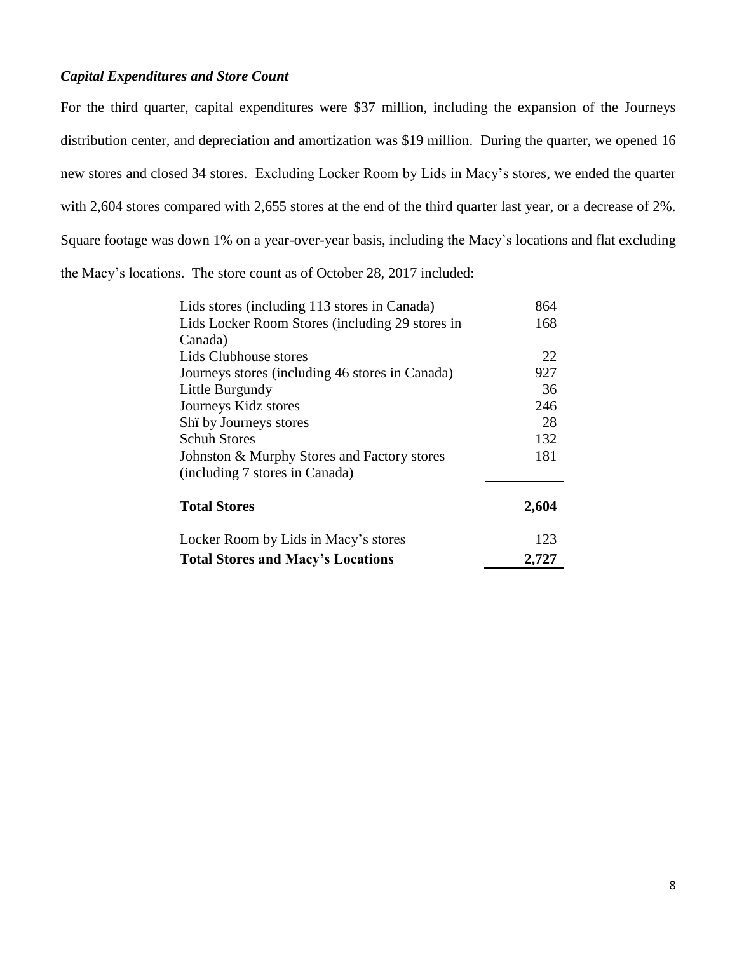# *Capital Expenditures and Store Count*

For the third quarter, capital expenditures were \$37 million, including the expansion of the Journeys distribution center, and depreciation and amortization was \$19 million. During the quarter, we opened 16 new stores and closed 34 stores. Excluding Locker Room by Lids in Macy's stores, we ended the quarter with 2,604 stores compared with 2,655 stores at the end of the third quarter last year, or a decrease of 2%. Square footage was down 1% on a year-over-year basis, including the Macy's locations and flat excluding the Macy's locations. The store count as of October 28, 2017 included:

| Lids stores (including 113 stores in Canada)    | 864   |
|-------------------------------------------------|-------|
| Lids Locker Room Stores (including 29 stores in | 168   |
| Canada)                                         |       |
| Lids Clubhouse stores                           | 22    |
| Journeys stores (including 46 stores in Canada) | 927   |
| Little Burgundy                                 | 36    |
| Journeys Kidz stores                            | 246   |
| Shi by Journeys stores                          | 28    |
| <b>Schuh Stores</b>                             | 132   |
| Johnston & Murphy Stores and Factory stores     | 181   |
| (including 7 stores in Canada)                  |       |
| <b>Total Stores</b>                             | 2,604 |
| Locker Room by Lids in Macy's stores            | 123   |
| <b>Total Stores and Macy's Locations</b>        | 2,727 |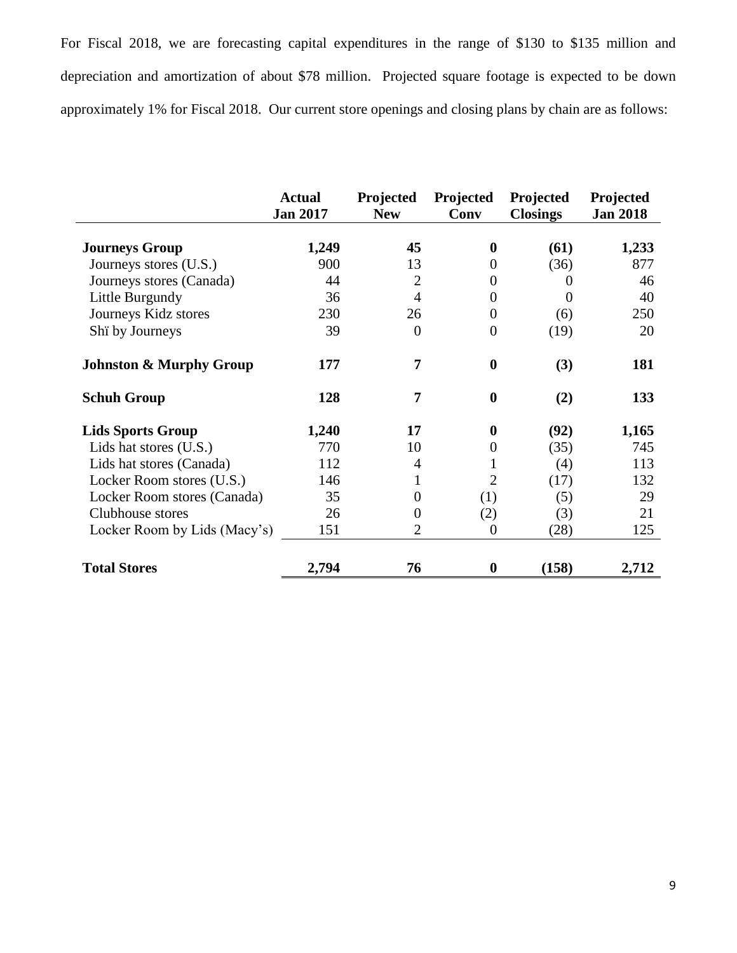For Fiscal 2018, we are forecasting capital expenditures in the range of \$130 to \$135 million and depreciation and amortization of about \$78 million. Projected square footage is expected to be down approximately 1% for Fiscal 2018. Our current store openings and closing plans by chain are as follows:

|                                    | <b>Actual</b><br><b>Jan 2017</b> | Projected<br><b>New</b> | Projected<br>Conv | Projected<br><b>Closings</b> | Projected<br><b>Jan 2018</b> |
|------------------------------------|----------------------------------|-------------------------|-------------------|------------------------------|------------------------------|
| <b>Journeys Group</b>              | 1,249                            | 45                      | $\bf{0}$          | (61)                         | 1,233                        |
| Journeys stores (U.S.)             | 900                              | 13                      | $\Omega$          | (36)                         | 877                          |
| Journeys stores (Canada)           | 44                               | $\overline{2}$          | $\theta$          | $\Omega$                     | 46                           |
| Little Burgundy                    | 36                               | $\overline{4}$          | $\overline{0}$    | $\Omega$                     | 40                           |
| Journeys Kidz stores               | 230                              | 26                      | $\overline{0}$    | (6)                          | 250                          |
| Shi by Journeys                    | 39                               | $\theta$                | $\overline{0}$    | (19)                         | 20                           |
| <b>Johnston &amp; Murphy Group</b> | 177                              | 7                       | $\bf{0}$          | (3)                          | 181                          |
| <b>Schuh Group</b>                 | 128                              | 7                       | $\bf{0}$          | (2)                          | 133                          |
| <b>Lids Sports Group</b>           | 1,240                            | 17                      | $\bf{0}$          | (92)                         | 1,165                        |
| Lids hat stores (U.S.)             | 770                              | 10                      | $\boldsymbol{0}$  | (35)                         | 745                          |
| Lids hat stores (Canada)           | 112                              | 4                       |                   | (4)                          | 113                          |
| Locker Room stores (U.S.)          | 146                              | 1                       | $\overline{2}$    | (17)                         | 132                          |
| Locker Room stores (Canada)        | 35                               | 0                       | (1)               | (5)                          | 29                           |
| Clubhouse stores                   | 26                               | $\Omega$                | (2)               | (3)                          | 21                           |
| Locker Room by Lids (Macy's)       | 151                              | 2                       | $\overline{0}$    | (28)                         | 125                          |
| <b>Total Stores</b>                | 2,794                            | 76                      | 0                 | (158)                        | 2,712                        |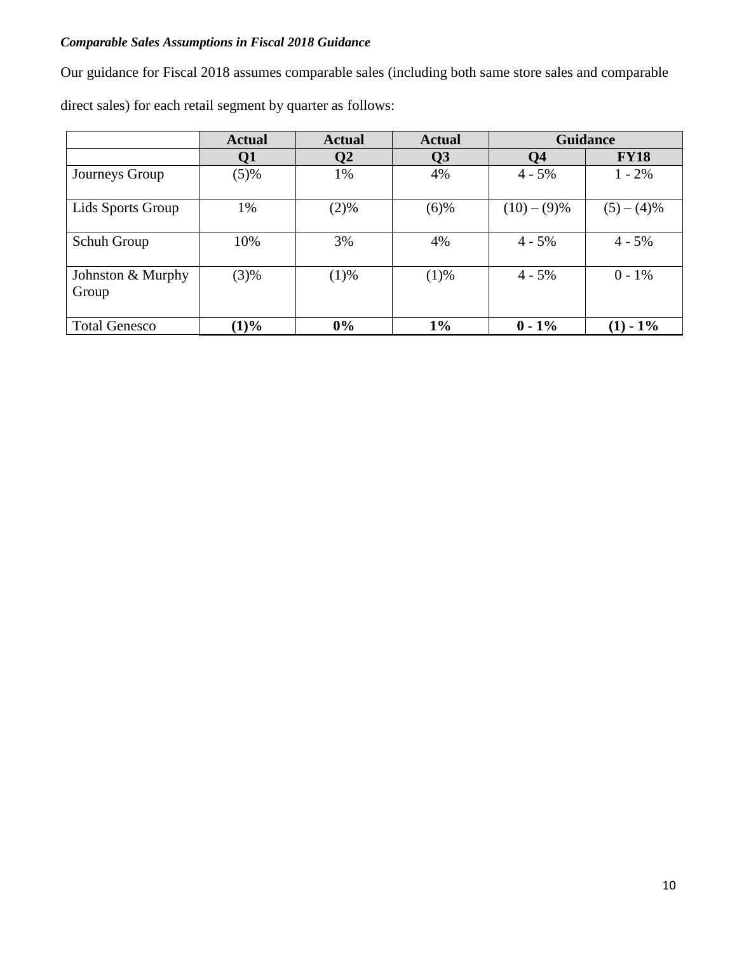# *Comparable Sales Assumptions in Fiscal 2018 Guidance*

Our guidance for Fiscal 2018 assumes comparable sales (including both same store sales and comparable

direct sales) for each retail segment by quarter as follows:

|                            | <b>Actual</b> | <b>Actual</b> | <b>Actual</b>  | <b>Guidance</b> |             |
|----------------------------|---------------|---------------|----------------|-----------------|-------------|
|                            | Q1            | Q2            | Q <sub>3</sub> | Q <sub>4</sub>  | <b>FY18</b> |
| Journeys Group             | (5)%          | 1%            | 4%             | $4 - 5\%$       | $1 - 2\%$   |
| Lids Sports Group          | 1%            | (2)%          | (6)%           | $(10) - (9)\%$  | $(5)-(4)\%$ |
| Schuh Group                | 10%           | 3%            | 4%             | $4 - 5\%$       | $4 - 5\%$   |
| Johnston & Murphy<br>Group | (3)%          | (1)%          | (1)%           | $4 - 5\%$       | $0 - 1\%$   |
| <b>Total Genesco</b>       | (1)%          | 0%            | $1\%$          | $0 - 1\%$       | $(1)$ - 1%  |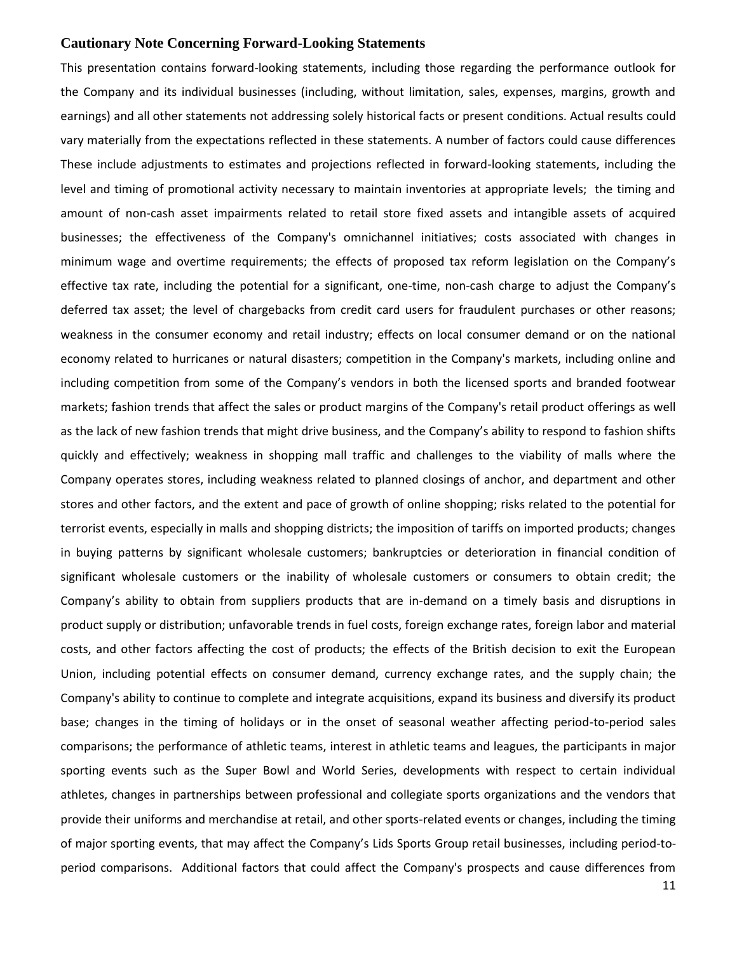#### **Cautionary Note Concerning Forward-Looking Statements**

This presentation contains forward-looking statements, including those regarding the performance outlook for the Company and its individual businesses (including, without limitation, sales, expenses, margins, growth and earnings) and all other statements not addressing solely historical facts or present conditions. Actual results could vary materially from the expectations reflected in these statements. A number of factors could cause differences These include adjustments to estimates and projections reflected in forward-looking statements, including the level and timing of promotional activity necessary to maintain inventories at appropriate levels; the timing and amount of non-cash asset impairments related to retail store fixed assets and intangible assets of acquired businesses; the effectiveness of the Company's omnichannel initiatives; costs associated with changes in minimum wage and overtime requirements; the effects of proposed tax reform legislation on the Company's effective tax rate, including the potential for a significant, one-time, non-cash charge to adjust the Company's deferred tax asset; the level of chargebacks from credit card users for fraudulent purchases or other reasons; weakness in the consumer economy and retail industry; effects on local consumer demand or on the national economy related to hurricanes or natural disasters; competition in the Company's markets, including online and including competition from some of the Company's vendors in both the licensed sports and branded footwear markets; fashion trends that affect the sales or product margins of the Company's retail product offerings as well as the lack of new fashion trends that might drive business, and the Company's ability to respond to fashion shifts quickly and effectively; weakness in shopping mall traffic and challenges to the viability of malls where the Company operates stores, including weakness related to planned closings of anchor, and department and other stores and other factors, and the extent and pace of growth of online shopping; risks related to the potential for terrorist events, especially in malls and shopping districts; the imposition of tariffs on imported products; changes in buying patterns by significant wholesale customers; bankruptcies or deterioration in financial condition of significant wholesale customers or the inability of wholesale customers or consumers to obtain credit; the Company's ability to obtain from suppliers products that are in-demand on a timely basis and disruptions in product supply or distribution; unfavorable trends in fuel costs, foreign exchange rates, foreign labor and material costs, and other factors affecting the cost of products; the effects of the British decision to exit the European Union, including potential effects on consumer demand, currency exchange rates, and the supply chain; the Company's ability to continue to complete and integrate acquisitions, expand its business and diversify its product base; changes in the timing of holidays or in the onset of seasonal weather affecting period-to-period sales comparisons; the performance of athletic teams, interest in athletic teams and leagues, the participants in major sporting events such as the Super Bowl and World Series, developments with respect to certain individual athletes, changes in partnerships between professional and collegiate sports organizations and the vendors that provide their uniforms and merchandise at retail, and other sports-related events or changes, including the timing of major sporting events, that may affect the Company's Lids Sports Group retail businesses, including period-toperiod comparisons. Additional factors that could affect the Company's prospects and cause differences from